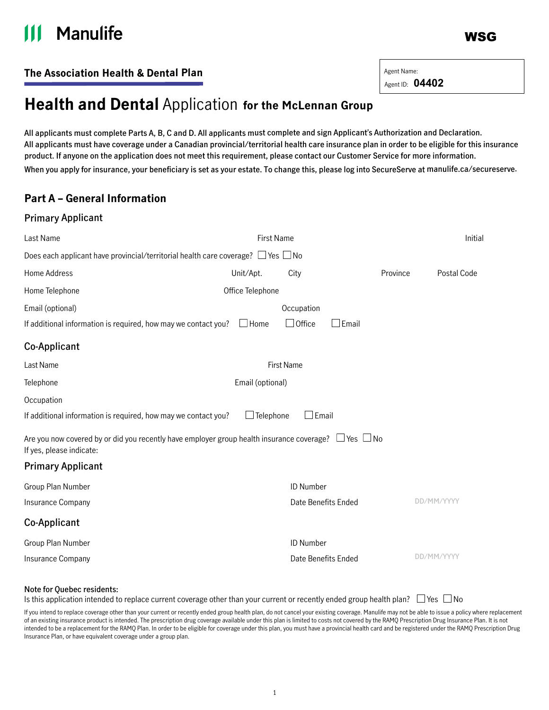# **Manulife**

WSG

Agent ID: **04402**

### **The Association Health & Dental Plan** Agent Name:

## **Health and Dental** Application **for the McLennan Group**

**All applicants must complete Parts A, B, C and D. All applicants must complete and sign Applicant's Authorization and Declaration. All applicants must have coverage under a Canadian provincial/territorial health care insurance plan in order to be eligible for this insurance product. If anyone on the application does not meet this requirement, please contact our Customer Service for more information. When you apply for insurance, your beneficiary is set as your estate. To change this, please log into SecureServe at [manulife.ca/secureserve](http://manulife.ca/secureserve).**

### **Part A – General Information**

### **Primary Applicant**

| Last Name                                                                                                                                  | <b>First Name</b>                                                                          |                     |              | Initial     |
|--------------------------------------------------------------------------------------------------------------------------------------------|--------------------------------------------------------------------------------------------|---------------------|--------------|-------------|
|                                                                                                                                            | Does each applicant have provincial/territorial health care coverage? $\Box$ Yes $\Box$ No |                     |              |             |
| Home Address                                                                                                                               | Unit/Apt.                                                                                  | City                | Province     | Postal Code |
| Home Telephone                                                                                                                             | Office Telephone                                                                           |                     |              |             |
| Email (optional)                                                                                                                           |                                                                                            | Occupation          |              |             |
| If additional information is required, how may we contact you?                                                                             | $\Box$ Home                                                                                | $\Box$ Office       | $\Box$ Email |             |
| Co-Applicant                                                                                                                               |                                                                                            |                     |              |             |
| Last Name                                                                                                                                  | <b>First Name</b>                                                                          |                     |              |             |
| Telephone                                                                                                                                  | Email (optional)                                                                           |                     |              |             |
| Occupation                                                                                                                                 |                                                                                            |                     |              |             |
| If additional information is required, how may we contact you?                                                                             | $\Box$ Telephone                                                                           | $\Box$ Email        |              |             |
| Are you now covered by or did you recently have employer group health insurance coverage? $\Box$ Yes $\Box$ No<br>If yes, please indicate: |                                                                                            |                     |              |             |
| <b>Primary Applicant</b>                                                                                                                   |                                                                                            |                     |              |             |
| Group Plan Number                                                                                                                          |                                                                                            | ID Number           |              |             |
| Insurance Company                                                                                                                          |                                                                                            | Date Benefits Ended |              | DD/MM/YYYY  |
| Co-Applicant                                                                                                                               |                                                                                            |                     |              |             |
| Group Plan Number                                                                                                                          |                                                                                            | ID Number           |              |             |
| Insurance Company                                                                                                                          |                                                                                            | Date Benefits Ended |              | DD/MM/YYYY  |
|                                                                                                                                            |                                                                                            |                     |              |             |

#### **Note for Quebec residents:**

Is this application intended to replace current coverage other than your current or recently ended group health plan?  $\Box$  Yes  $\Box$  No

If you intend to replace coverage other than your current or recently ended group health plan, do not cancel your existing coverage. Manulife may not be able to issue a policy where replacement of an existing insurance product is intended. The prescription drug coverage available under this plan is limited to costs not covered by the RAMQ Prescription Drug Insurance Plan. It is not intended to be a replacement for the RAMQ Plan. In order to be eligible for coverage under this plan, you must have a provincial health card and be registered under the RAMQ Prescription Drug Insurance Plan, or have equivalent coverage under a group plan.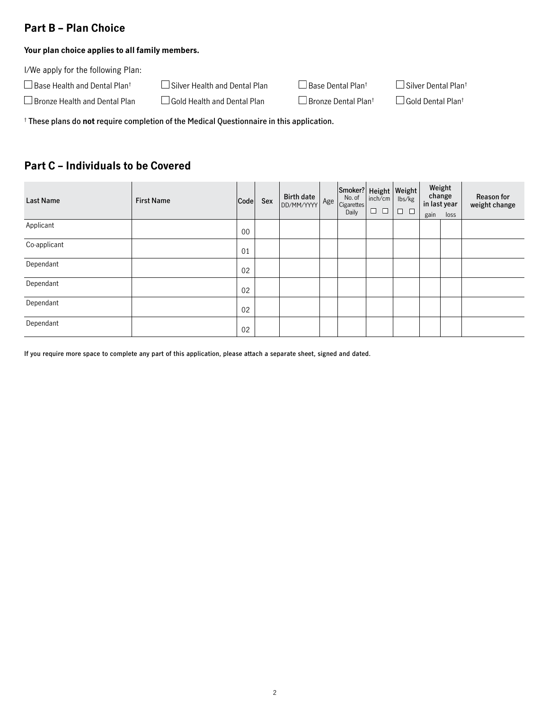### **Part B – Plan Choice**

#### **Your plan choice applies to all family members.**

I/We apply for the following Plan:

| $\Box$ Base Health and Dental Plan <sup>t</sup> | $\Box$ Silver Health and Dental Plan | $\Box$ B |
|-------------------------------------------------|--------------------------------------|----------|
|-------------------------------------------------|--------------------------------------|----------|

 $\Box$  Bronze Health and Dental Plan  $\Box$  Gold Health and Dental Plan  $\Box$  Bronze Dental Plan<sup>†</sup>  $\Box$  Gold Dental Plan<sup>†</sup>

Base Dental Plan<sup>†</sup>  $\Box$  Silver Dental Plan<sup>†</sup>

† **These plans do not require completion of the Medical Questionnaire in this application.**

### **Part C – Individuals to be Covered**

| <b>Last Name</b> | <b>First Name</b> | Code   | Sex | <b>Birth date</b><br>DD/MM/YYYY | Age | Smoker? Height   Weight<br>No. of<br>Cigarettes<br>Daily | inch/cm<br>$\Box$<br>$\Box$ | lbs/kg<br>$\Box$ $\Box$ | change<br>gain | Weight<br>in last year<br>loss | <b>Reason for</b><br>weight change |
|------------------|-------------------|--------|-----|---------------------------------|-----|----------------------------------------------------------|-----------------------------|-------------------------|----------------|--------------------------------|------------------------------------|
| Applicant        |                   | $00\,$ |     |                                 |     |                                                          |                             |                         |                |                                |                                    |
| Co-applicant     |                   | 01     |     |                                 |     |                                                          |                             |                         |                |                                |                                    |
| Dependant        |                   | 02     |     |                                 |     |                                                          |                             |                         |                |                                |                                    |
| Dependant        |                   | 02     |     |                                 |     |                                                          |                             |                         |                |                                |                                    |
| Dependant        |                   | 02     |     |                                 |     |                                                          |                             |                         |                |                                |                                    |
| Dependant        |                   | 02     |     |                                 |     |                                                          |                             |                         |                |                                |                                    |

**If you require more space to complete any part of this application, please attach a separate sheet, signed and dated.**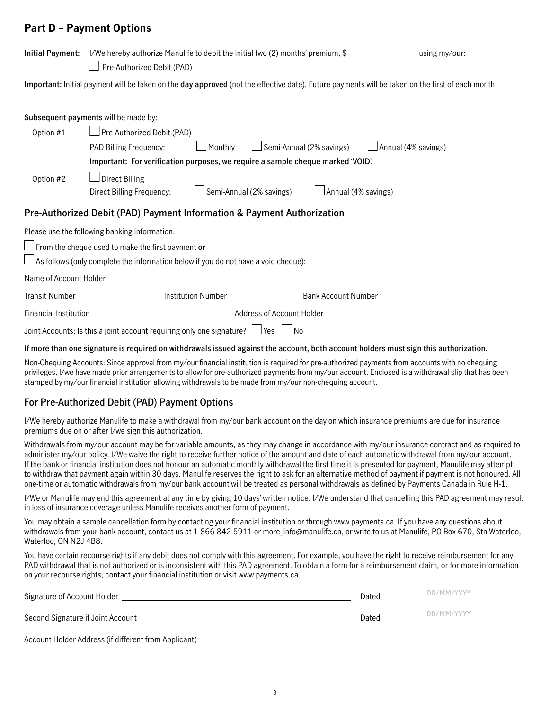### **Part D – Payment Options**

| Initial Payment:             | I/We hereby authorize Manulife to debit the initial two (2) months' premium, \$<br>Pre-Authorized Debit (PAD)                                                                                          |                           |                           |                            | , using my/our:                                                                                                                                  |
|------------------------------|--------------------------------------------------------------------------------------------------------------------------------------------------------------------------------------------------------|---------------------------|---------------------------|----------------------------|--------------------------------------------------------------------------------------------------------------------------------------------------|
|                              |                                                                                                                                                                                                        |                           |                           |                            | Important: Initial payment will be taken on the day approved (not the effective date). Future payments will be taken on the first of each month. |
|                              | Subsequent payments will be made by:                                                                                                                                                                   |                           |                           |                            |                                                                                                                                                  |
| Option #1                    | Pre-Authorized Debit (PAD)<br>PAD Billing Frequency:<br>Important: For verification purposes, we require a sample cheque marked 'VOID'.                                                                | Monthly                   |                           | Semi-Annual (2% savings)   | Annual (4% savings)                                                                                                                              |
| Option #2                    | $\Box$ Direct Billing<br>Direct Billing Frequency:                                                                                                                                                     | Semi-Annual (2% savings)  |                           | Annual (4% savings)        |                                                                                                                                                  |
|                              | Pre-Authorized Debit (PAD) Payment Information & Payment Authorization                                                                                                                                 |                           |                           |                            |                                                                                                                                                  |
|                              | Please use the following banking information:<br>$\Box$ From the cheque used to make the first payment or<br>$\Box$ As follows (only complete the information below if you do not have a void cheque): |                           |                           |                            |                                                                                                                                                  |
| Name of Account Holder       |                                                                                                                                                                                                        |                           |                           |                            |                                                                                                                                                  |
| <b>Transit Number</b>        |                                                                                                                                                                                                        | <b>Institution Number</b> |                           | <b>Bank Account Number</b> |                                                                                                                                                  |
| <b>Financial Institution</b> |                                                                                                                                                                                                        |                           | Address of Account Holder |                            |                                                                                                                                                  |
|                              | Joint Accounts: Is this a joint account requiring only one signature? $\Box$                                                                                                                           |                           | Yes<br>⊿No                |                            |                                                                                                                                                  |
|                              |                                                                                                                                                                                                        |                           |                           |                            | If more than one structure to required on withdrawels together and real the special holds account holds in this distribution this settlement of  |

**If more than one signature is required on withdrawals issued against the account, both account holders must sign this authorization.**

Non-Chequing Accounts: Since approval from my/our financial institution is required for pre-authorized payments from accounts with no chequing privileges, I/we have made prior arrangements to allow for pre-authorized payments from my/our account. Enclosed is a withdrawal slip that has been stamped by my/our financial institution allowing withdrawals to be made from my/our non-chequing account.

### **For Pre-Authorized Debit (PAD) Payment Options**

I/We hereby authorize Manulife to make a withdrawal from my/our bank account on the day on which insurance premiums are due for insurance premiums due on or after I/we sign this authorization.

Withdrawals from my/our account may be for variable amounts, as they may change in accordance with my/our insurance contract and as required to administer my/our policy. I/We waive the right to receive further notice of the amount and date of each automatic withdrawal from my/our account. If the bank or financial institution does not honour an automatic monthly withdrawal the first time it is presented for payment, Manulife may attempt to withdraw that payment again within 30 days. Manulife reserves the right to ask for an alternative method of payment if payment is not honoured. All one-time or automatic withdrawals from my/our bank account will be treated as personal withdrawals as defined by Payments Canada in Rule H-1.

I/We or Manulife may end this agreement at any time by giving 10 days' written notice. I/We understand that cancelling this PAD agreement may result in loss of insurance coverage unless Manulife receives another form of payment.

You may obtain a sample cancellation form by contacting your financial institution or through www.payments.ca. If you have any questions about withdrawals from your bank account, contact us at 1-866-842-5911 or more\_info@manulife.ca, or write to us at Manulife, PO Box 670, Stn Waterloo, Waterloo, ON N2J 4B8.

You have certain recourse rights if any debit does not comply with this agreement. For example, you have the right to receive reimbursement for any PAD withdrawal that is not authorized or is inconsistent with this PAD agreement. To obtain a form for a reimbursement claim, or for more information on your recourse rights, contact your financial institution or visit www.payments.ca.

| Signature of Account Holder       | Dated | DD/MM/YYYY |
|-----------------------------------|-------|------------|
| Second Signature if Joint Account | Dated | DD/MM/YYYY |

Account Holder Address (if different from Applicant)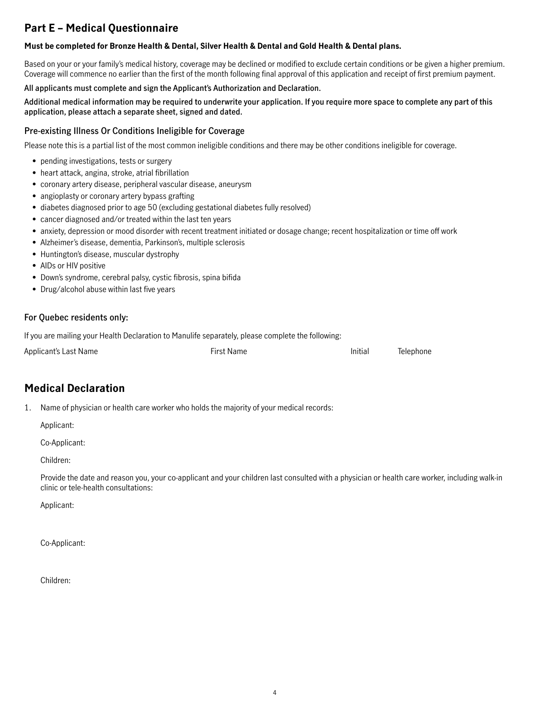### **Part E – Medical Questionnaire**

### **Must be completed for Bronze Health & Dental, Silver Health & Dental and Gold Health & Dental plans.**

Based on your or your family's medical history, coverage may be declined or modified to exclude certain conditions or be given a higher premium. Coverage will commence no earlier than the first of the month following final approval of this application and receipt of first premium payment.

### **All applicants must complete and sign the Applicant's Authorization and Declaration.**

#### **Additional medical information may be required to underwrite your application. If you require more space to complete any part of this application, please attach a separate sheet, signed and dated.**

### **Pre-existing Illness Or Conditions Ineligible for Coverage**

Please note this is a partial list of the most common ineligible conditions and there may be other conditions ineligible for coverage.

- pending investigations, tests or surgery
- heart attack, angina, stroke, atrial fibrillation
- coronary artery disease, peripheral vascular disease, aneurysm
- angioplasty or coronary artery bypass grafting
- diabetes diagnosed prior to age 50 (excluding gestational diabetes fully resolved)
- cancer diagnosed and/or treated within the last ten years
- anxiety, depression or mood disorder with recent treatment initiated or dosage change; recent hospitalization or time off work
- Alzheimer's disease, dementia, Parkinson's, multiple sclerosis
- Huntington's disease, muscular dystrophy
- AIDs or HIV positive
- Down's syndrome, cerebral palsy, cystic fibrosis, spina bifida
- Drug/alcohol abuse within last five years

### **For Quebec residents only:**

If you are mailing your Health Declaration to Manulife separately, please complete the following:

| Applicant's Last Name | <b>First Name</b> | Initial | Telephone |
|-----------------------|-------------------|---------|-----------|
|                       |                   |         |           |

### **Medical Declaration**

1. Name of physician or health care worker who holds the majority of your medical records:

Applicant:

Co-Applicant:

Children:

Provide the date and reason you, your co-applicant and your children last consulted with a physician or health care worker, including walk-in clinic or tele-health consultations:

Applicant:

Co-Applicant:

Children: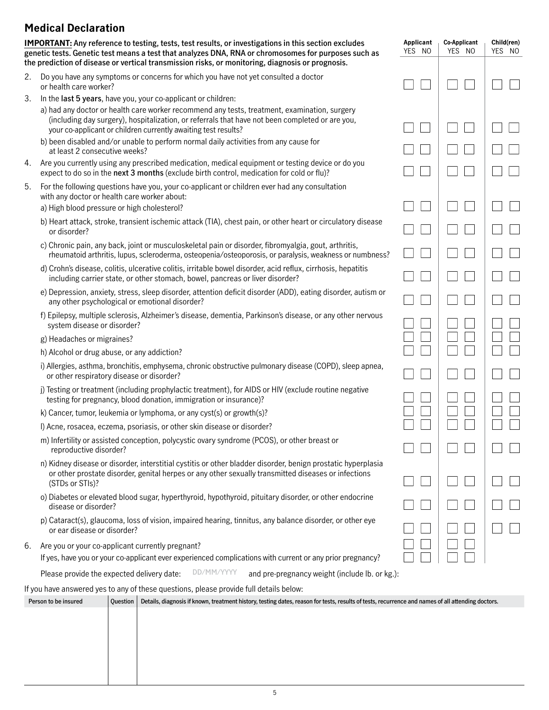### **Medical Declaration**

**IMPORTANT: Any reference to testing, tests, test results, or investigations in this section excludes genetic tests. Genetic test means a test that analyzes DNA, RNA or chromosomes for purposes such as the prediction of disease or vertical transmission risks, or monitoring, diagnosis or prognosis.**

 **Applicant Co-Applicant Child(ren)** YES NO | YES NO | YES NO

 $\mathcal{L}^{\mathcal{L}}$ 

 $\Box$ 

- 2. Do you have any symptoms or concerns for which you have not yet consulted a doctor or health care worker?
- 3. In the **last 5 years**, have you, your co-applicant or children:

| a) had any doctor or health care worker recommend any tests, treatment, examination, surgery    |
|-------------------------------------------------------------------------------------------------|
| (including day surgery), hospitalization, or referrals that have not been completed or are you, |
| your co-applicant or children currently awaiting test results?                                  |

- b) been disabled and/or unable to perform normal daily activities from any cause for at least 2 consecutive weeks?
- 4. Are you currently using any prescribed medication, medical equipment or testing device or do you expect to do so in the **next 3 months** (exclude birth control, medication for cold or flu)?
- 5. For the following questions have you, your co-applicant or children ever had any consultation with any doctor or health care worker about:

a) High blood pressure or high cholesterol?

- b) Heart attack, stroke, transient ischemic attack (TIA), chest pain, or other heart or circulatory disease or disorder?
- c) Chronic pain, any back, joint or musculoskeletal pain or disorder, fibromyalgia, gout, arthritis, rheumatoid arthritis, lupus, scleroderma, osteopenia/osteoporosis, or paralysis, weakness or numbness?
- d) Crohn's disease, colitis, ulcerative colitis, irritable bowel disorder, acid reflux, cirrhosis, hepatitis including carrier state, or other stomach, bowel, pancreas or liver disorder?
- e) Depression, anxiety, stress, sleep disorder, attention deficit disorder (ADD), eating disorder, autism or any other psychological or emotional disorder?
- f) Epilepsy, multiple sclerosis, Alzheimer's disease, dementia, Parkinson's disease, or any other nervous system disease or disorder?
- g) Headaches or migraines?
- h) Alcohol or drug abuse, or any addiction?
- i) Allergies, asthma, bronchitis, emphysema, chronic obstructive pulmonary disease (COPD), sleep apnea, or other respiratory disease or disorder?
- j) Testing or treatment (including prophylactic treatment), for AIDS or HIV (exclude routine negative testing for pregnancy, blood donation, immigration or insurance)?
- k) Cancer, tumor, leukemia or lymphoma, or any cyst(s) or growth(s)?
- l) Acne, rosacea, eczema, psoriasis, or other skin disease or disorder?
- m) Infertility or assisted conception, polycystic ovary syndrome (PCOS), or other breast or reproductive disorder?
- n) Kidney disease or disorder, interstitial cystitis or other bladder disorder, benign prostatic hyperplasia or other prostate disorder, genital herpes or any other sexually transmitted diseases or infections (STDs or STIs)?
- o) Diabetes or elevated blood sugar, hyperthyroid, hypothyroid, pituitary disorder, or other endocrine disease or disorder?
- p) Cataract(s), glaucoma, loss of vision, impaired hearing, tinnitus, any balance disorder, or other eye or ear disease or disorder?
- 6. Are you or your co-applicant currently pregnant?

If yes, have you or your co-applicant ever experienced complications with current or any prior pregnancy?

**DD/MM/YYYY** Please provide the expected delivery date:  $\Box$ D/MM/YYYY and pre-pregnancy weight (include lb. or kg.):

If you have answered yes to any of these questions, please provide full details below:

| Question | Details, diagnosis if known, treatment history, testing dates, reason for tests, results of tests, recurrence and names of all attending doctors. |
|----------|---------------------------------------------------------------------------------------------------------------------------------------------------|
|          |                                                                                                                                                   |
|          |                                                                                                                                                   |
|          |                                                                                                                                                   |
|          |                                                                                                                                                   |
|          |                                                                                                                                                   |
|          |                                                                                                                                                   |
|          |                                                                                                                                                   |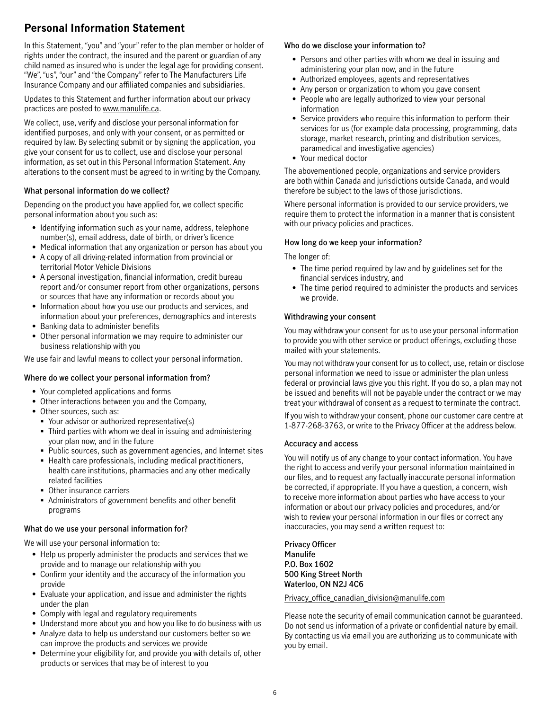### **Personal Information Statement**

In this Statement, "you" and "your" refer to the plan member or holder of rights under the contract, the insured and the parent or guardian of any child named as insured who is under the legal age for providing consent. "We", "us", "our" and "the Company" refer to The Manufacturers Life Insurance Company and our affiliated companies and subsidiaries.

Updates to this Statement and further information about our privacy practices are posted to [www.manulife.ca](http://www.manulife.ca).

We collect, use, verify and disclose your personal information for identified purposes, and only with your consent, or as permitted or required by law. By selecting submit or by signing the application, you give your consent for us to collect, use and disclose your personal information, as set out in this Personal Information Statement. Any alterations to the consent must be agreed to in writing by the Company.

### **What personal information do we collect?**

Depending on the product you have applied for, we collect specific personal information about you such as:

- Identifying information such as your name, address, telephone number(s), email address, date of birth, or driver's licence
- Medical information that any organization or person has about you
- A copy of all driving-related information from provincial or territorial Motor Vehicle Divisions
- A personal investigation, financial information, credit bureau report and/or consumer report from other organizations, persons or sources that have any information or records about you
- Information about how you use our products and services, and information about your preferences, demographics and interests
- Banking data to administer benefits
- Other personal information we may require to administer our business relationship with you

We use fair and lawful means to collect your personal information.

#### **Where do we collect your personal information from?**

- Your completed applications and forms
- Other interactions between you and the Company,
- Other sources, such as:
	- Your advisor or authorized representative(s)
	- Third parties with whom we deal in issuing and administering your plan now, and in the future
	- Public sources, such as government agencies, and Internet sites
	- Health care professionals, including medical practitioners, health care institutions, pharmacies and any other medically related facilities
	- Other insurance carriers
	- Administrators of government benefits and other benefit programs

### **What do we use your personal information for?**

We will use your personal information to:

- Help us properly administer the products and services that we provide and to manage our relationship with you
- Confirm your identity and the accuracy of the information you provide
- Evaluate your application, and issue and administer the rights under the plan
- Comply with legal and regulatory requirements
- Understand more about you and how you like to do business with us
- Analyze data to help us understand our customers better so we can improve the products and services we provide
- Determine your eligibility for, and provide you with details of, other products or services that may be of interest to you

### **Who do we disclose your information to?**

- Persons and other parties with whom we deal in issuing and administering your plan now, and in the future
- Authorized employees, agents and representatives
- Any person or organization to whom you gave consent
- People who are legally authorized to view your personal information
- Service providers who require this information to perform their services for us (for example data processing, programming, data storage, market research, printing and distribution services, paramedical and investigative agencies)
- Your medical doctor

The abovementioned people, organizations and service providers are both within Canada and jurisdictions outside Canada, and would therefore be subject to the laws of those jurisdictions.

Where personal information is provided to our service providers, we require them to protect the information in a manner that is consistent with our privacy policies and practices.

### **How long do we keep your information?**

The longer of:

- The time period required by law and by guidelines set for the financial services industry, and
- The time period required to administer the products and services we provide.

#### **Withdrawing your consent**

You may withdraw your consent for us to use your personal information to provide you with other service or product offerings, excluding those mailed with your statements.

You may not withdraw your consent for us to collect, use, retain or disclose personal information we need to issue or administer the plan unless federal or provincial laws give you this right. If you do so, a plan may not be issued and benefits will not be payable under the contract or we may treat your withdrawal of consent as a request to terminate the contract.

If you wish to withdraw your consent, phone our customer care centre at 1-877-268-3763, or write to the Privacy Officer at the address below.

#### **Accuracy and access**

You will notify us of any change to your contact information. You have the right to access and verify your personal information maintained in our files, and to request any factually inaccurate personal information be corrected, if appropriate. If you have a question, a concern, wish to receive more information about parties who have access to your information or about our privacy policies and procedures, and/or wish to review your personal information in our files or correct any inaccuracies, you may send a written request to:

**Privacy Officer Manulife P.O. Box 1602 500 King Street North Waterloo, ON N2J 4C6**

#### [Privacy\\_office\\_canadian\\_division@manulife.com](mailto:Privacy_office_canadian_division%40manulife.com?subject=)

Please note the security of email communication cannot be guaranteed. Do not send us information of a private or confidential nature by email. By contacting us via email you are authorizing us to communicate with you by email.